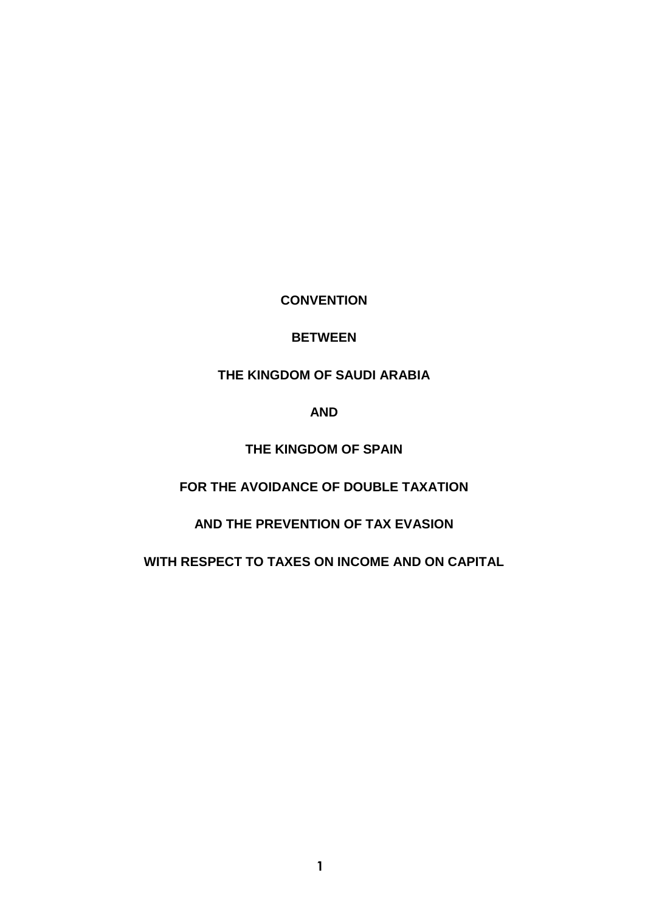**CONVENTION**

## **BETWEEN**

**THE KINGDOM OF SAUDI ARABIA**

**AND**

**THE KINGDOM OF SPAIN**

**FOR THE AVOIDANCE OF DOUBLE TAXATION**

**AND THE PREVENTION OF TAX EVASION**

**WITH RESPECT TO TAXES ON INCOME AND ON CAPITAL**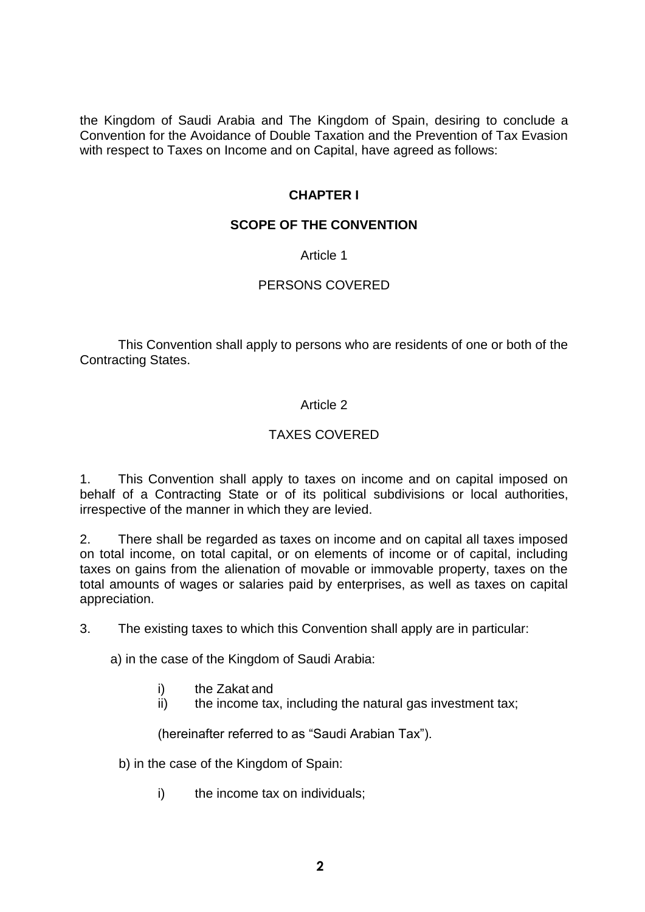the Kingdom of Saudi Arabia and The Kingdom of Spain, desiring to conclude a Convention for the Avoidance of Double Taxation and the Prevention of Tax Evasion with respect to Taxes on Income and on Capital, have agreed as follows:

## **CHAPTER I**

### **SCOPE OF THE CONVENTION**

Article 1

## PERSONS COVERED

This Convention shall apply to persons who are residents of one or both of the Contracting States.

## Article 2

# TAXES COVERED

1. This Convention shall apply to taxes on income and on capital imposed on behalf of a Contracting State or of its political subdivisions or local authorities, irrespective of the manner in which they are levied.

2. There shall be regarded as taxes on income and on capital all taxes imposed on total income, on total capital, or on elements of income or of capital, including taxes on gains from the alienation of movable or immovable property, taxes on the total amounts of wages or salaries paid by enterprises, as well as taxes on capital appreciation.

3. The existing taxes to which this Convention shall apply are in particular:

a) in the case of the Kingdom of Saudi Arabia:

- i) the Zakat and
- ii) the income tax, including the natural gas investment tax;

(hereinafter referred to as "Saudi Arabian Tax").

- b) in the case of the Kingdom of Spain:
	- i) the income tax on individuals;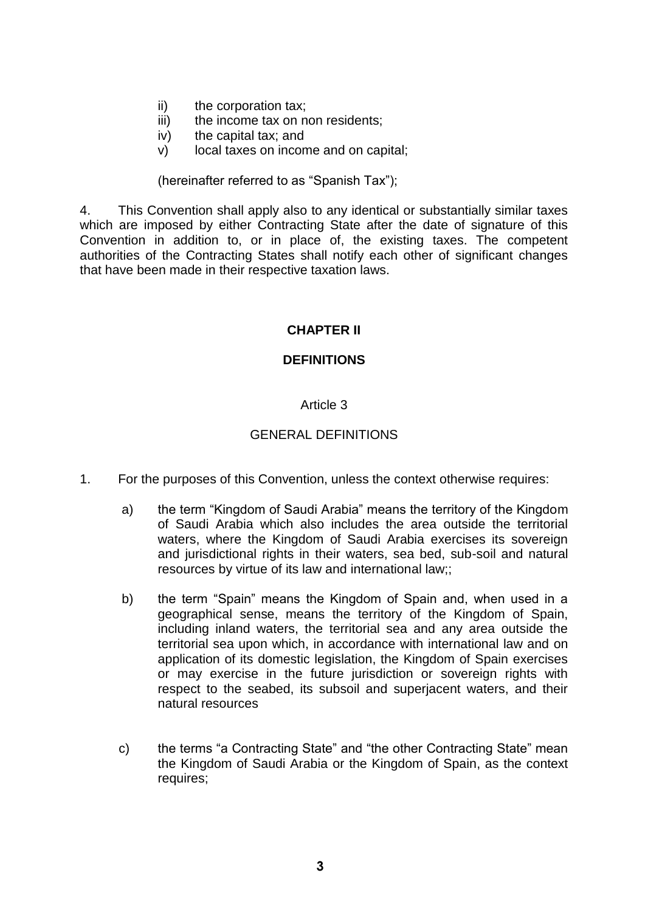- ii) the corporation tax;
- iii) the income tax on non residents;
- iv) the capital tax; and
- v) local taxes on income and on capital;

(hereinafter referred to as "Spanish Tax");

4. This Convention shall apply also to any identical or substantially similar taxes which are imposed by either Contracting State after the date of signature of this Convention in addition to, or in place of, the existing taxes. The competent authorities of the Contracting States shall notify each other of significant changes that have been made in their respective taxation laws.

# **CHAPTER II**

### **DEFINITIONS**

### Article 3

## GENERAL DEFINITIONS

- 1. For the purposes of this Convention, unless the context otherwise requires:
	- a) the term "Kingdom of Saudi Arabia" means the territory of the Kingdom of Saudi Arabia which also includes the area outside the territorial waters, where the Kingdom of Saudi Arabia exercises its sovereign and jurisdictional rights in their waters, sea bed, sub-soil and natural resources by virtue of its law and international law;;
	- b) the term "Spain" means the Kingdom of Spain and, when used in a geographical sense, means the territory of the Kingdom of Spain, including inland waters, the territorial sea and any area outside the territorial sea upon which, in accordance with international law and on application of its domestic legislation, the Kingdom of Spain exercises or may exercise in the future jurisdiction or sovereign rights with respect to the seabed, its subsoil and superjacent waters, and their natural resources
	- c) the terms "a Contracting State" and "the other Contracting State" mean the Kingdom of Saudi Arabia or the Kingdom of Spain, as the context requires;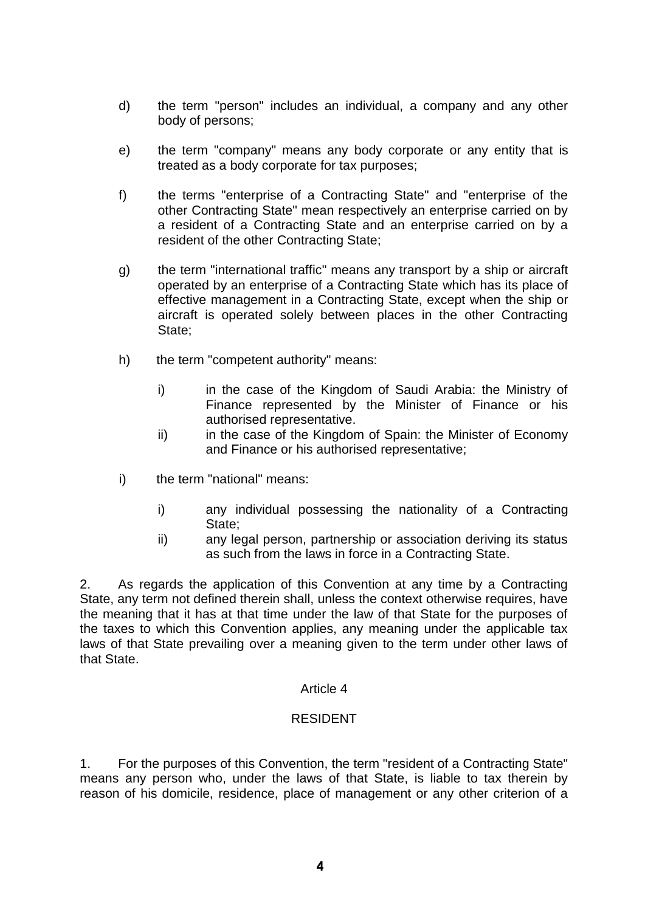- d) the term "person" includes an individual, a company and any other body of persons;
- e) the term "company" means any body corporate or any entity that is treated as a body corporate for tax purposes;
- f) the terms "enterprise of a Contracting State" and "enterprise of the other Contracting State" mean respectively an enterprise carried on by a resident of a Contracting State and an enterprise carried on by a resident of the other Contracting State;
- g) the term "international traffic" means any transport by a ship or aircraft operated by an enterprise of a Contracting State which has its place of effective management in a Contracting State, except when the ship or aircraft is operated solely between places in the other Contracting State;
- h) the term "competent authority" means:
	- i) in the case of the Kingdom of Saudi Arabia: the Ministry of Finance represented by the Minister of Finance or his authorised representative.
	- ii) in the case of the Kingdom of Spain: the Minister of Economy and Finance or his authorised representative;
- i) the term "national" means:
	- i) any individual possessing the nationality of a Contracting State;
	- ii) any legal person, partnership or association deriving its status as such from the laws in force in a Contracting State.

2. As regards the application of this Convention at any time by a Contracting State, any term not defined therein shall, unless the context otherwise requires, have the meaning that it has at that time under the law of that State for the purposes of the taxes to which this Convention applies, any meaning under the applicable tax laws of that State prevailing over a meaning given to the term under other laws of that State.

#### Article 4

### RESIDENT

1. For the purposes of this Convention, the term "resident of a Contracting State" means any person who, under the laws of that State, is liable to tax therein by reason of his domicile, residence, place of management or any other criterion of a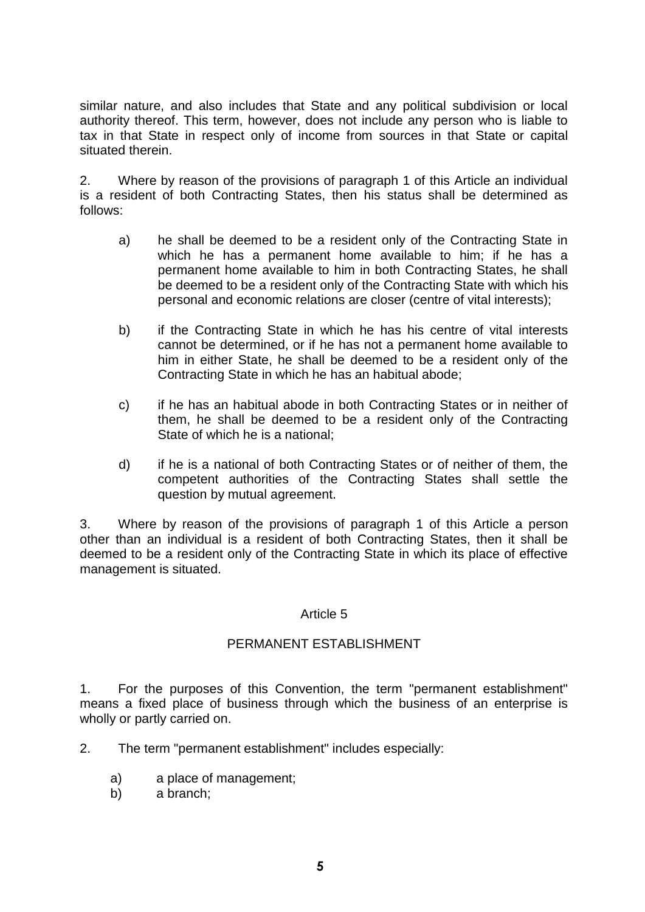similar nature, and also includes that State and any political subdivision or local authority thereof. This term, however, does not include any person who is liable to tax in that State in respect only of income from sources in that State or capital situated therein.

2. Where by reason of the provisions of paragraph 1 of this Article an individual is a resident of both Contracting States, then his status shall be determined as follows:

- a) he shall be deemed to be a resident only of the Contracting State in which he has a permanent home available to him; if he has a permanent home available to him in both Contracting States, he shall be deemed to be a resident only of the Contracting State with which his personal and economic relations are closer (centre of vital interests);
- b) if the Contracting State in which he has his centre of vital interests cannot be determined, or if he has not a permanent home available to him in either State, he shall be deemed to be a resident only of the Contracting State in which he has an habitual abode;
- c) if he has an habitual abode in both Contracting States or in neither of them, he shall be deemed to be a resident only of the Contracting State of which he is a national;
- d) if he is a national of both Contracting States or of neither of them, the competent authorities of the Contracting States shall settle the question by mutual agreement.

3. Where by reason of the provisions of paragraph 1 of this Article a person other than an individual is a resident of both Contracting States, then it shall be deemed to be a resident only of the Contracting State in which its place of effective management is situated.

### Article 5

### PERMANENT ESTABLISHMENT

1. For the purposes of this Convention, the term "permanent establishment" means a fixed place of business through which the business of an enterprise is wholly or partly carried on.

- 2. The term "permanent establishment" includes especially:
	- a) a place of management;
	- b) a branch;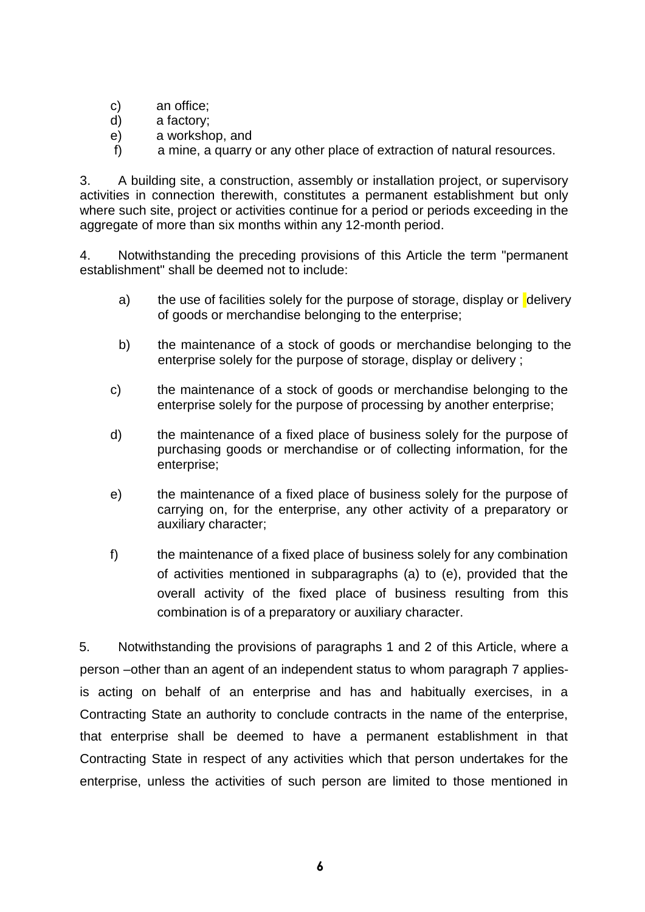- c) an office;
- d) a factory;
- e) a workshop, and
- f) a mine, a quarry or any other place of extraction of natural resources.

3. A building site, a construction, assembly or installation project, or supervisory activities in connection therewith, constitutes a permanent establishment but only where such site, project or activities continue for a period or periods exceeding in the aggregate of more than six months within any 12-month period.

4. Notwithstanding the preceding provisions of this Article the term "permanent establishment" shall be deemed not to include:

- a) the use of facilities solely for the purpose of storage, display or delivery of goods or merchandise belonging to the enterprise;
- b) the maintenance of a stock of goods or merchandise belonging to the enterprise solely for the purpose of storage, display or delivery ;
- c) the maintenance of a stock of goods or merchandise belonging to the enterprise solely for the purpose of processing by another enterprise;
- d) the maintenance of a fixed place of business solely for the purpose of purchasing goods or merchandise or of collecting information, for the enterprise;
- e) the maintenance of a fixed place of business solely for the purpose of carrying on, for the enterprise, any other activity of a preparatory or auxiliary character;
- f) the maintenance of a fixed place of business solely for any combination of activities mentioned in subparagraphs (a) to (e), provided that the overall activity of the fixed place of business resulting from this combination is of a preparatory or auxiliary character.

5. Notwithstanding the provisions of paragraphs 1 and 2 of this Article, where a person –other than an agent of an independent status to whom paragraph 7 appliesis acting on behalf of an enterprise and has and habitually exercises, in a Contracting State an authority to conclude contracts in the name of the enterprise, that enterprise shall be deemed to have a permanent establishment in that Contracting State in respect of any activities which that person undertakes for the enterprise, unless the activities of such person are limited to those mentioned in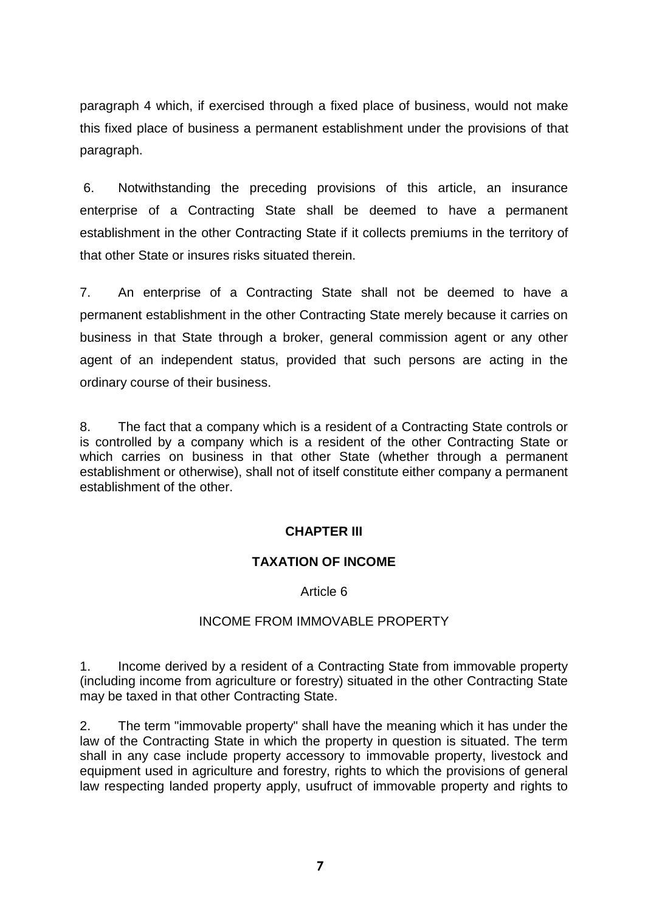paragraph 4 which, if exercised through a fixed place of business, would not make this fixed place of business a permanent establishment under the provisions of that paragraph.

6. Notwithstanding the preceding provisions of this article, an insurance enterprise of a Contracting State shall be deemed to have a permanent establishment in the other Contracting State if it collects premiums in the territory of that other State or insures risks situated therein.

7. An enterprise of a Contracting State shall not be deemed to have a permanent establishment in the other Contracting State merely because it carries on business in that State through a broker, general commission agent or any other agent of an independent status, provided that such persons are acting in the ordinary course of their business.

8. The fact that a company which is a resident of a Contracting State controls or is controlled by a company which is a resident of the other Contracting State or which carries on business in that other State (whether through a permanent establishment or otherwise), shall not of itself constitute either company a permanent establishment of the other.

# **CHAPTER III**

### **TAXATION OF INCOME**

### Article 6

### INCOME FROM IMMOVABLE PROPERTY

1. Income derived by a resident of a Contracting State from immovable property (including income from agriculture or forestry) situated in the other Contracting State may be taxed in that other Contracting State.

2. The term "immovable property" shall have the meaning which it has under the law of the Contracting State in which the property in question is situated. The term shall in any case include property accessory to immovable property, livestock and equipment used in agriculture and forestry, rights to which the provisions of general law respecting landed property apply, usufruct of immovable property and rights to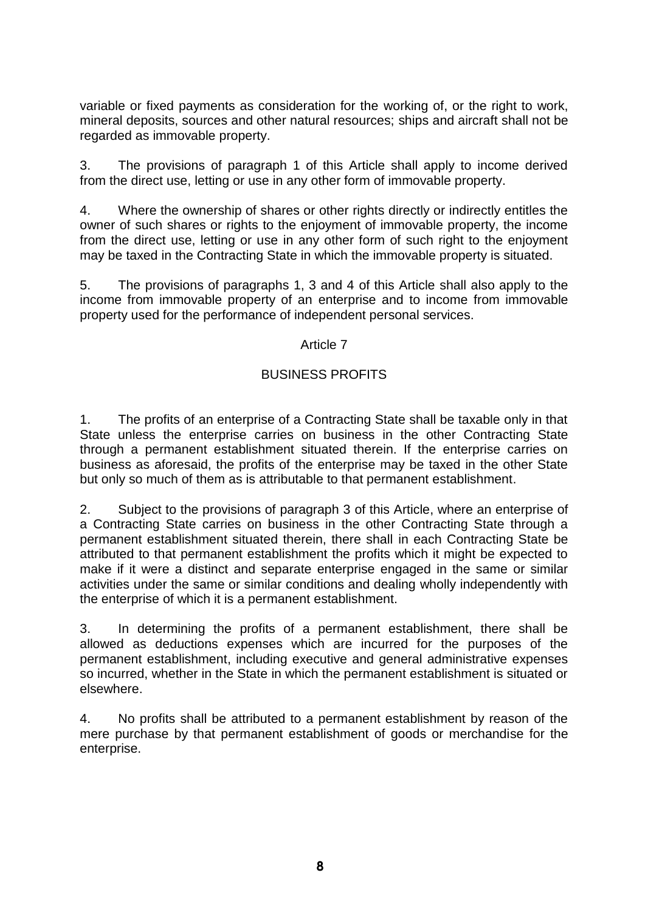variable or fixed payments as consideration for the working of, or the right to work, mineral deposits, sources and other natural resources; ships and aircraft shall not be regarded as immovable property.

3. The provisions of paragraph 1 of this Article shall apply to income derived from the direct use, letting or use in any other form of immovable property.

4. Where the ownership of shares or other rights directly or indirectly entitles the owner of such shares or rights to the enjoyment of immovable property, the income from the direct use, letting or use in any other form of such right to the enjoyment may be taxed in the Contracting State in which the immovable property is situated.

5. The provisions of paragraphs 1, 3 and 4 of this Article shall also apply to the income from immovable property of an enterprise and to income from immovable property used for the performance of independent personal services.

#### Article 7

### BUSINESS PROFITS

1. The profits of an enterprise of a Contracting State shall be taxable only in that State unless the enterprise carries on business in the other Contracting State through a permanent establishment situated therein. If the enterprise carries on business as aforesaid, the profits of the enterprise may be taxed in the other State but only so much of them as is attributable to that permanent establishment.

2. Subject to the provisions of paragraph 3 of this Article, where an enterprise of a Contracting State carries on business in the other Contracting State through a permanent establishment situated therein, there shall in each Contracting State be attributed to that permanent establishment the profits which it might be expected to make if it were a distinct and separate enterprise engaged in the same or similar activities under the same or similar conditions and dealing wholly independently with the enterprise of which it is a permanent establishment.

3. In determining the profits of a permanent establishment, there shall be allowed as deductions expenses which are incurred for the purposes of the permanent establishment, including executive and general administrative expenses so incurred, whether in the State in which the permanent establishment is situated or elsewhere.

4. No profits shall be attributed to a permanent establishment by reason of the mere purchase by that permanent establishment of goods or merchandise for the enterprise.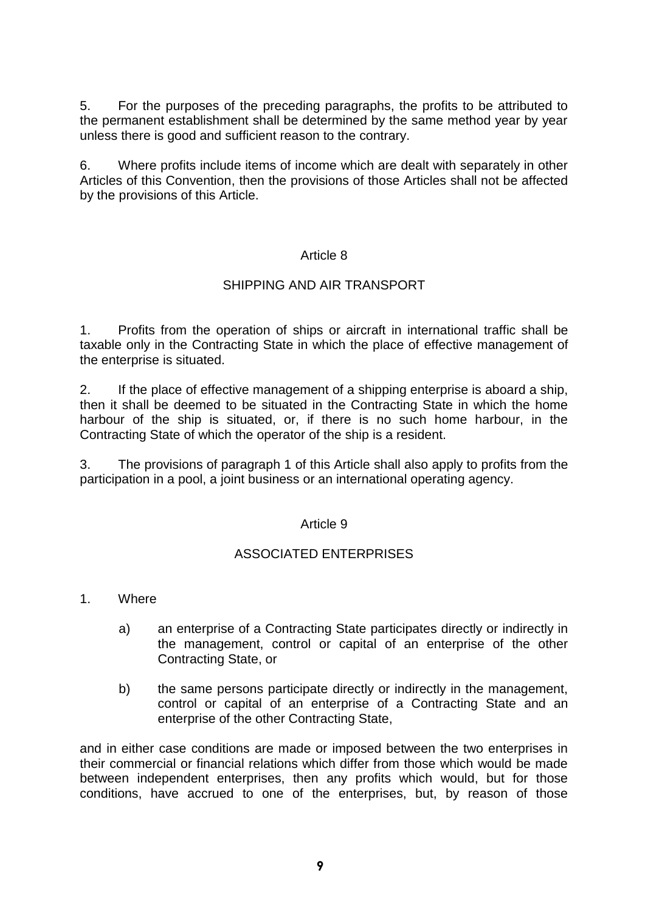5. For the purposes of the preceding paragraphs, the profits to be attributed to the permanent establishment shall be determined by the same method year by year unless there is good and sufficient reason to the contrary.

6. Where profits include items of income which are dealt with separately in other Articles of this Convention, then the provisions of those Articles shall not be affected by the provisions of this Article.

### Article 8

## SHIPPING AND AIR TRANSPORT

1. Profits from the operation of ships or aircraft in international traffic shall be taxable only in the Contracting State in which the place of effective management of the enterprise is situated.

2. If the place of effective management of a shipping enterprise is aboard a ship, then it shall be deemed to be situated in the Contracting State in which the home harbour of the ship is situated, or, if there is no such home harbour, in the Contracting State of which the operator of the ship is a resident.

3. The provisions of paragraph 1 of this Article shall also apply to profits from the participation in a pool, a joint business or an international operating agency.

### Article 9

### ASSOCIATED ENTERPRISES

- 1. Where
	- a) an enterprise of a Contracting State participates directly or indirectly in the management, control or capital of an enterprise of the other Contracting State, or
	- b) the same persons participate directly or indirectly in the management, control or capital of an enterprise of a Contracting State and an enterprise of the other Contracting State,

and in either case conditions are made or imposed between the two enterprises in their commercial or financial relations which differ from those which would be made between independent enterprises, then any profits which would, but for those conditions, have accrued to one of the enterprises, but, by reason of those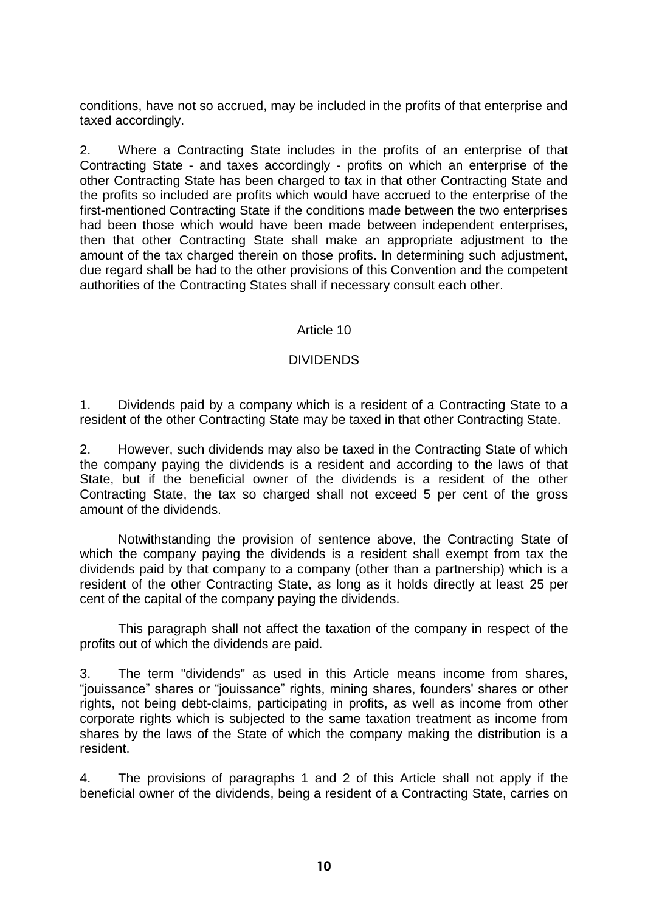conditions, have not so accrued, may be included in the profits of that enterprise and taxed accordingly.

2. Where a Contracting State includes in the profits of an enterprise of that Contracting State - and taxes accordingly - profits on which an enterprise of the other Contracting State has been charged to tax in that other Contracting State and the profits so included are profits which would have accrued to the enterprise of the first-mentioned Contracting State if the conditions made between the two enterprises had been those which would have been made between independent enterprises, then that other Contracting State shall make an appropriate adjustment to the amount of the tax charged therein on those profits. In determining such adjustment, due regard shall be had to the other provisions of this Convention and the competent authorities of the Contracting States shall if necessary consult each other.

### Article 10

#### DIVIDENDS

1. Dividends paid by a company which is a resident of a Contracting State to a resident of the other Contracting State may be taxed in that other Contracting State.

2. However, such dividends may also be taxed in the Contracting State of which the company paying the dividends is a resident and according to the laws of that State, but if the beneficial owner of the dividends is a resident of the other Contracting State, the tax so charged shall not exceed 5 per cent of the gross amount of the dividends.

Notwithstanding the provision of sentence above, the Contracting State of which the company paying the dividends is a resident shall exempt from tax the dividends paid by that company to a company (other than a partnership) which is a resident of the other Contracting State, as long as it holds directly at least 25 per cent of the capital of the company paying the dividends.

This paragraph shall not affect the taxation of the company in respect of the profits out of which the dividends are paid.

3. The term "dividends" as used in this Article means income from shares, "jouissance" shares or "jouissance" rights, mining shares, founders' shares or other rights, not being debt-claims, participating in profits, as well as income from other corporate rights which is subjected to the same taxation treatment as income from shares by the laws of the State of which the company making the distribution is a resident.

4. The provisions of paragraphs 1 and 2 of this Article shall not apply if the beneficial owner of the dividends, being a resident of a Contracting State, carries on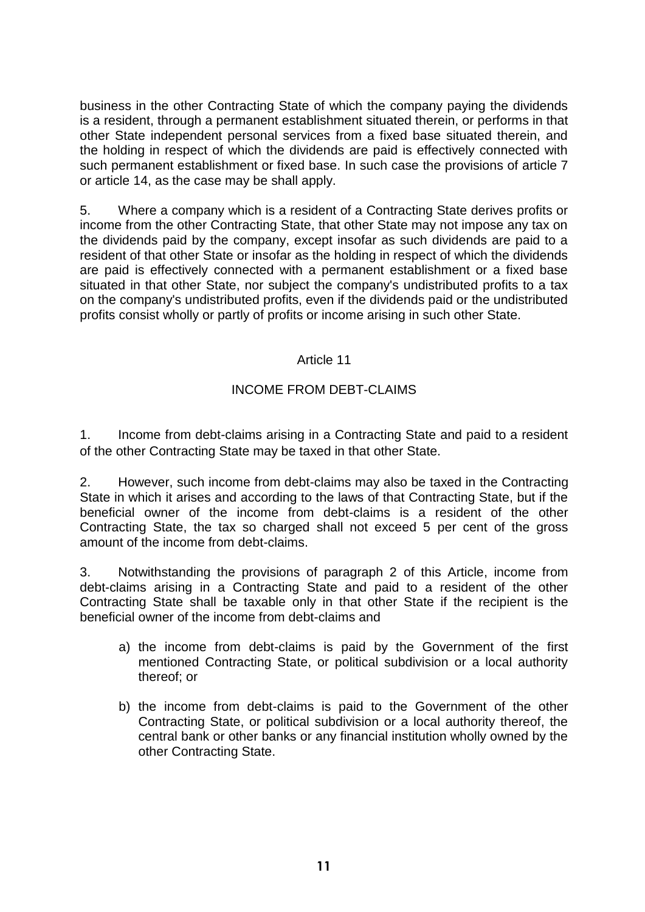business in the other Contracting State of which the company paying the dividends is a resident, through a permanent establishment situated therein, or performs in that other State independent personal services from a fixed base situated therein, and the holding in respect of which the dividends are paid is effectively connected with such permanent establishment or fixed base. In such case the provisions of article 7 or article 14, as the case may be shall apply.

5. Where a company which is a resident of a Contracting State derives profits or income from the other Contracting State, that other State may not impose any tax on the dividends paid by the company, except insofar as such dividends are paid to a resident of that other State or insofar as the holding in respect of which the dividends are paid is effectively connected with a permanent establishment or a fixed base situated in that other State, nor subject the company's undistributed profits to a tax on the company's undistributed profits, even if the dividends paid or the undistributed profits consist wholly or partly of profits or income arising in such other State.

## Article 11

# INCOME FROM DEBT-CLAIMS

1. Income from debt-claims arising in a Contracting State and paid to a resident of the other Contracting State may be taxed in that other State.

2. However, such income from debt-claims may also be taxed in the Contracting State in which it arises and according to the laws of that Contracting State, but if the beneficial owner of the income from debt-claims is a resident of the other Contracting State, the tax so charged shall not exceed 5 per cent of the gross amount of the income from debt-claims.

3. Notwithstanding the provisions of paragraph 2 of this Article, income from debt-claims arising in a Contracting State and paid to a resident of the other Contracting State shall be taxable only in that other State if the recipient is the beneficial owner of the income from debt-claims and

- a) the income from debt-claims is paid by the Government of the first mentioned Contracting State, or political subdivision or a local authority thereof; or
- b) the income from debt-claims is paid to the Government of the other Contracting State, or political subdivision or a local authority thereof, the central bank or other banks or any financial institution wholly owned by the other Contracting State.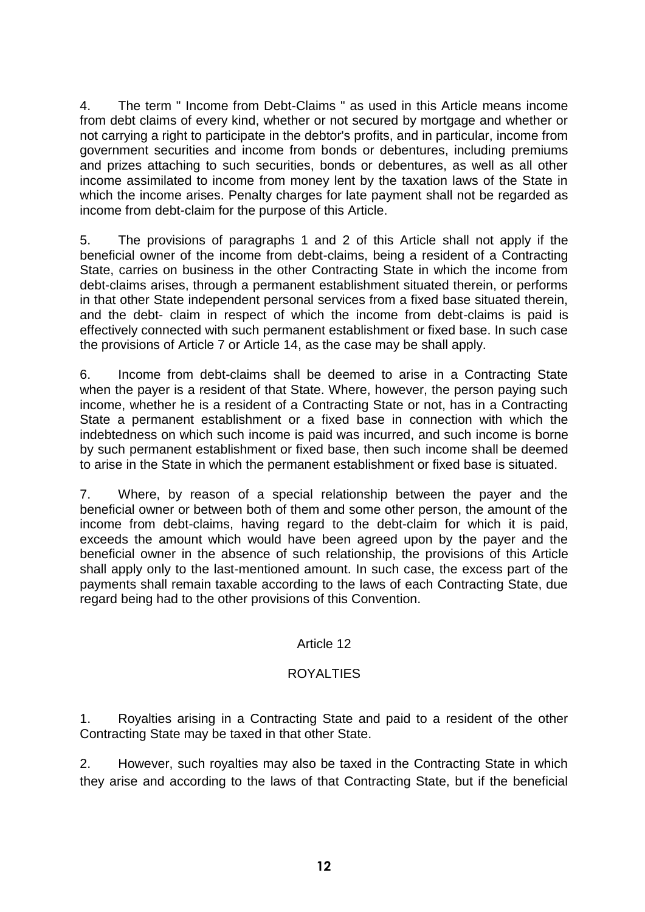4. The term " Income from Debt-Claims " as used in this Article means income from debt claims of every kind, whether or not secured by mortgage and whether or not carrying a right to participate in the debtor's profits, and in particular, income from government securities and income from bonds or debentures, including premiums and prizes attaching to such securities, bonds or debentures, as well as all other income assimilated to income from money lent by the taxation laws of the State in which the income arises. Penalty charges for late payment shall not be regarded as income from debt-claim for the purpose of this Article.

5. The provisions of paragraphs 1 and 2 of this Article shall not apply if the beneficial owner of the income from debt-claims, being a resident of a Contracting State, carries on business in the other Contracting State in which the income from debt-claims arises, through a permanent establishment situated therein, or performs in that other State independent personal services from a fixed base situated therein, and the debt- claim in respect of which the income from debt-claims is paid is effectively connected with such permanent establishment or fixed base. In such case the provisions of Article 7 or Article 14, as the case may be shall apply.

6. Income from debt-claims shall be deemed to arise in a Contracting State when the payer is a resident of that State. Where, however, the person paying such income, whether he is a resident of a Contracting State or not, has in a Contracting State a permanent establishment or a fixed base in connection with which the indebtedness on which such income is paid was incurred, and such income is borne by such permanent establishment or fixed base, then such income shall be deemed to arise in the State in which the permanent establishment or fixed base is situated.

7. Where, by reason of a special relationship between the payer and the beneficial owner or between both of them and some other person, the amount of the income from debt-claims, having regard to the debt-claim for which it is paid, exceeds the amount which would have been agreed upon by the payer and the beneficial owner in the absence of such relationship, the provisions of this Article shall apply only to the last-mentioned amount. In such case, the excess part of the payments shall remain taxable according to the laws of each Contracting State, due regard being had to the other provisions of this Convention.

# Article 12

### ROYALTIES

1. Royalties arising in a Contracting State and paid to a resident of the other Contracting State may be taxed in that other State.

2. However, such royalties may also be taxed in the Contracting State in which they arise and according to the laws of that Contracting State, but if the beneficial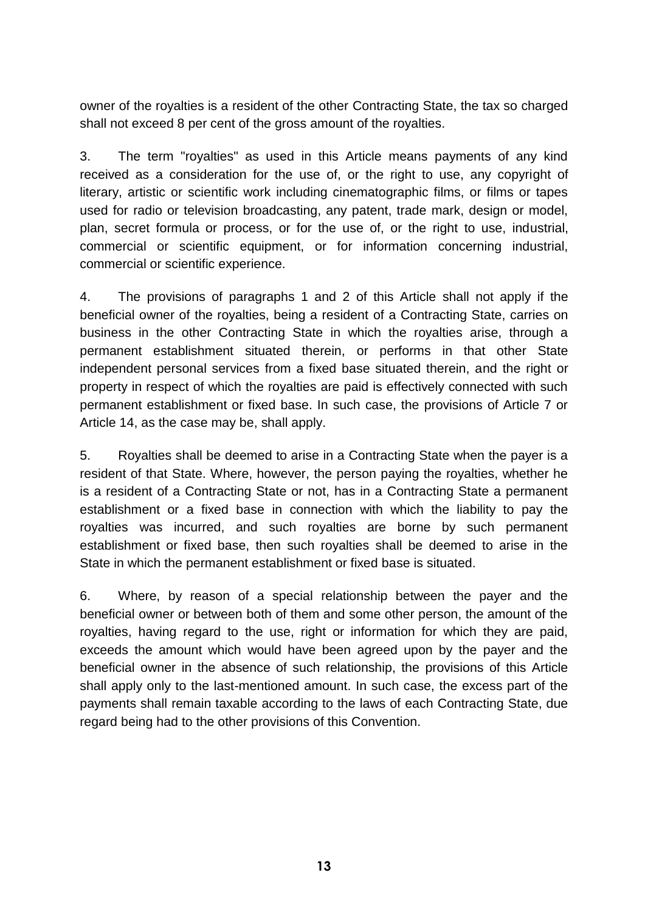owner of the royalties is a resident of the other Contracting State, the tax so charged shall not exceed 8 per cent of the gross amount of the royalties.

3. The term "royalties" as used in this Article means payments of any kind received as a consideration for the use of, or the right to use, any copyright of literary, artistic or scientific work including cinematographic films, or films or tapes used for radio or television broadcasting, any patent, trade mark, design or model, plan, secret formula or process, or for the use of, or the right to use, industrial, commercial or scientific equipment, or for information concerning industrial, commercial or scientific experience.

4. The provisions of paragraphs 1 and 2 of this Article shall not apply if the beneficial owner of the royalties, being a resident of a Contracting State, carries on business in the other Contracting State in which the royalties arise, through a permanent establishment situated therein, or performs in that other State independent personal services from a fixed base situated therein, and the right or property in respect of which the royalties are paid is effectively connected with such permanent establishment or fixed base. In such case, the provisions of Article 7 or Article 14, as the case may be, shall apply.

5. Royalties shall be deemed to arise in a Contracting State when the payer is a resident of that State. Where, however, the person paying the royalties, whether he is a resident of a Contracting State or not, has in a Contracting State a permanent establishment or a fixed base in connection with which the liability to pay the royalties was incurred, and such royalties are borne by such permanent establishment or fixed base, then such royalties shall be deemed to arise in the State in which the permanent establishment or fixed base is situated.

6. Where, by reason of a special relationship between the payer and the beneficial owner or between both of them and some other person, the amount of the royalties, having regard to the use, right or information for which they are paid, exceeds the amount which would have been agreed upon by the payer and the beneficial owner in the absence of such relationship, the provisions of this Article shall apply only to the last-mentioned amount. In such case, the excess part of the payments shall remain taxable according to the laws of each Contracting State, due regard being had to the other provisions of this Convention.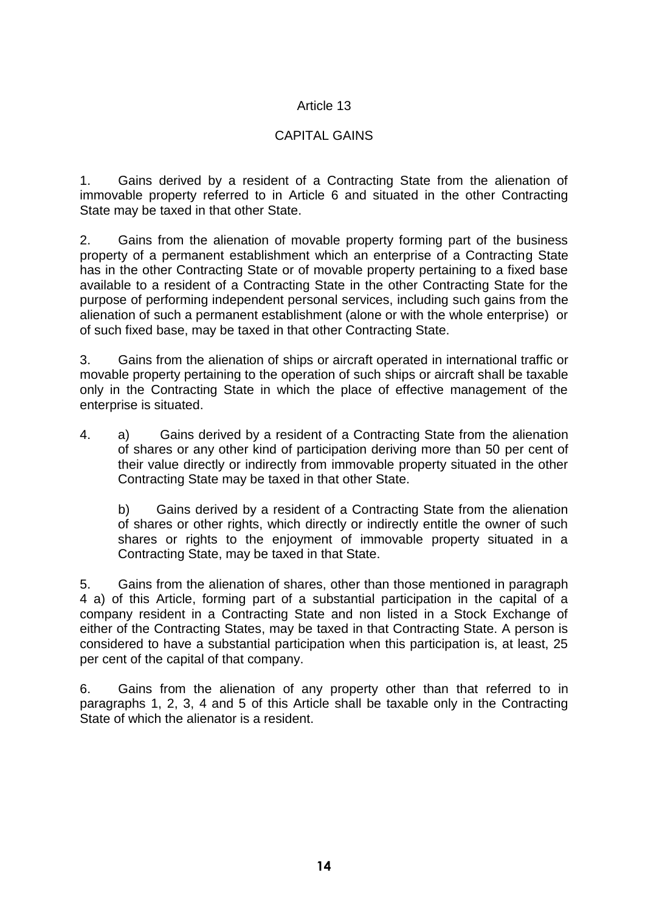# Article 13

# CAPITAL GAINS

1. Gains derived by a resident of a Contracting State from the alienation of immovable property referred to in Article 6 and situated in the other Contracting State may be taxed in that other State.

2. Gains from the alienation of movable property forming part of the business property of a permanent establishment which an enterprise of a Contracting State has in the other Contracting State or of movable property pertaining to a fixed base available to a resident of a Contracting State in the other Contracting State for the purpose of performing independent personal services, including such gains from the alienation of such a permanent establishment (alone or with the whole enterprise) or of such fixed base, may be taxed in that other Contracting State.

3. Gains from the alienation of ships or aircraft operated in international traffic or movable property pertaining to the operation of such ships or aircraft shall be taxable only in the Contracting State in which the place of effective management of the enterprise is situated.

4. a) Gains derived by a resident of a Contracting State from the alienation of shares or any other kind of participation deriving more than 50 per cent of their value directly or indirectly from immovable property situated in the other Contracting State may be taxed in that other State.

b) Gains derived by a resident of a Contracting State from the alienation of shares or other rights, which directly or indirectly entitle the owner of such shares or rights to the enjoyment of immovable property situated in a Contracting State, may be taxed in that State.

5. Gains from the alienation of shares, other than those mentioned in paragraph 4 a) of this Article, forming part of a substantial participation in the capital of a company resident in a Contracting State and non listed in a Stock Exchange of either of the Contracting States, may be taxed in that Contracting State. A person is considered to have a substantial participation when this participation is, at least, 25 per cent of the capital of that company.

6. Gains from the alienation of any property other than that referred to in paragraphs 1, 2, 3, 4 and 5 of this Article shall be taxable only in the Contracting State of which the alienator is a resident.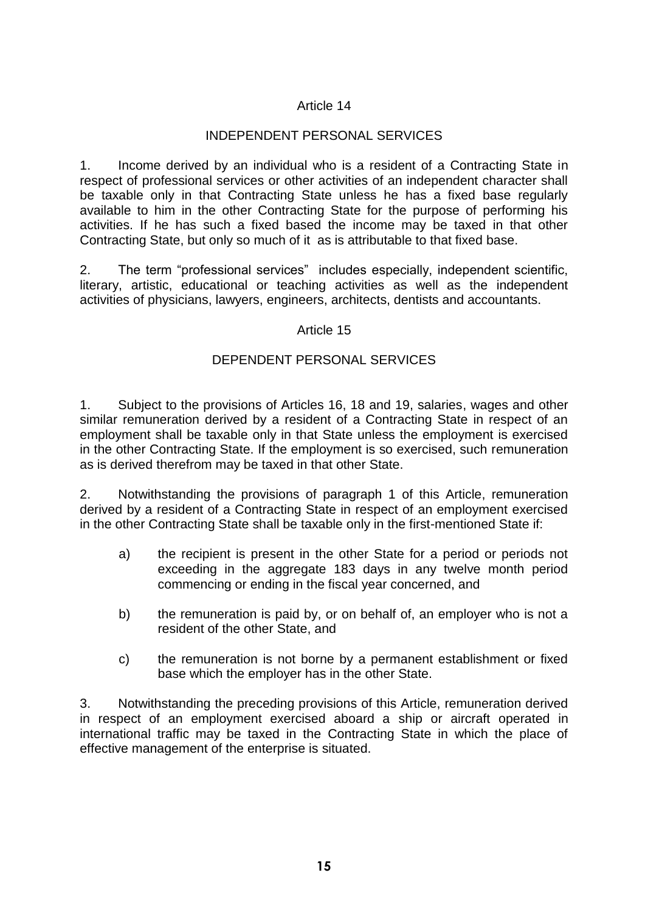# Article 14

# INDEPENDENT PERSONAL SERVICES

1. Income derived by an individual who is a resident of a Contracting State in respect of professional services or other activities of an independent character shall be taxable only in that Contracting State unless he has a fixed base regularly available to him in the other Contracting State for the purpose of performing his activities. If he has such a fixed based the income may be taxed in that other Contracting State, but only so much of it as is attributable to that fixed base.

2. The term "professional services" includes especially, independent scientific, literary, artistic, educational or teaching activities as well as the independent activities of physicians, lawyers, engineers, architects, dentists and accountants.

### Article 15

### DEPENDENT PERSONAL SERVICES

1. Subject to the provisions of Articles 16, 18 and 19, salaries, wages and other similar remuneration derived by a resident of a Contracting State in respect of an employment shall be taxable only in that State unless the employment is exercised in the other Contracting State. If the employment is so exercised, such remuneration as is derived therefrom may be taxed in that other State.

2. Notwithstanding the provisions of paragraph 1 of this Article, remuneration derived by a resident of a Contracting State in respect of an employment exercised in the other Contracting State shall be taxable only in the first-mentioned State if:

- a) the recipient is present in the other State for a period or periods not exceeding in the aggregate 183 days in any twelve month period commencing or ending in the fiscal year concerned, and
- b) the remuneration is paid by, or on behalf of, an employer who is not a resident of the other State, and
- c) the remuneration is not borne by a permanent establishment or fixed base which the employer has in the other State.

3. Notwithstanding the preceding provisions of this Article, remuneration derived in respect of an employment exercised aboard a ship or aircraft operated in international traffic may be taxed in the Contracting State in which the place of effective management of the enterprise is situated.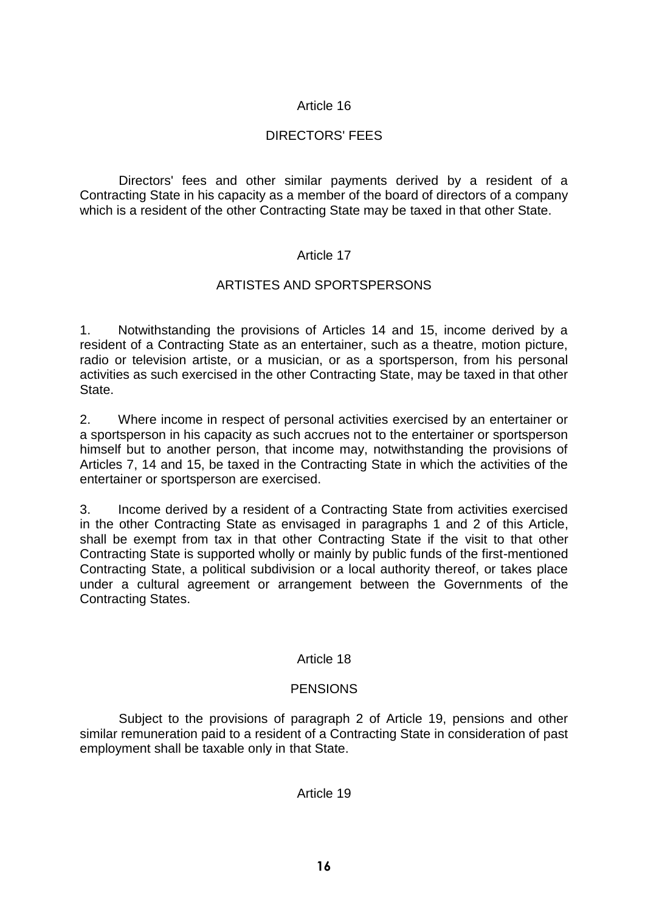# Article 16

# DIRECTORS' FEES

Directors' fees and other similar payments derived by a resident of a Contracting State in his capacity as a member of the board of directors of a company which is a resident of the other Contracting State may be taxed in that other State.

### Article 17

#### ARTISTES AND SPORTSPERSONS

1. Notwithstanding the provisions of Articles 14 and 15, income derived by a resident of a Contracting State as an entertainer, such as a theatre, motion picture, radio or television artiste, or a musician, or as a sportsperson, from his personal activities as such exercised in the other Contracting State, may be taxed in that other State.

2. Where income in respect of personal activities exercised by an entertainer or a sportsperson in his capacity as such accrues not to the entertainer or sportsperson himself but to another person, that income may, notwithstanding the provisions of Articles 7, 14 and 15, be taxed in the Contracting State in which the activities of the entertainer or sportsperson are exercised.

3. Income derived by a resident of a Contracting State from activities exercised in the other Contracting State as envisaged in paragraphs 1 and 2 of this Article, shall be exempt from tax in that other Contracting State if the visit to that other Contracting State is supported wholly or mainly by public funds of the first-mentioned Contracting State, a political subdivision or a local authority thereof, or takes place under a cultural agreement or arrangement between the Governments of the Contracting States.

### Article 18

### **PENSIONS**

Subject to the provisions of paragraph 2 of Article 19, pensions and other similar remuneration paid to a resident of a Contracting State in consideration of past employment shall be taxable only in that State.

Article 19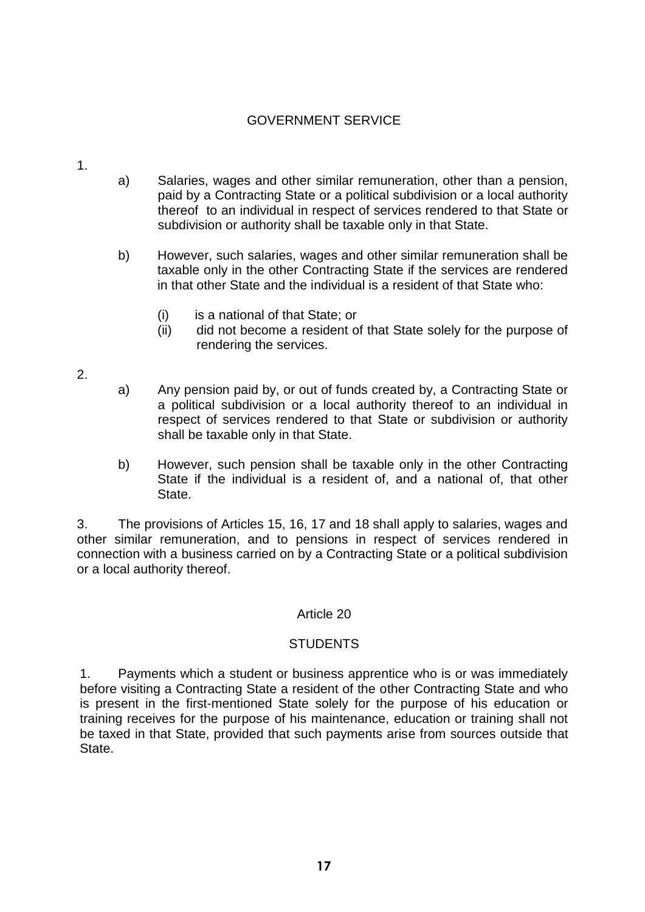## GOVERNMENT SERVICE

- 1.
- a) Salaries, wages and other similar remuneration, other than a pension, paid by a Contracting State or a political subdivision or a local authority thereof to an individual in respect of services rendered to that State or subdivision or authority shall be taxable only in that State.
- b) However, such salaries, wages and other similar remuneration shall be taxable only in the other Contracting State if the services are rendered in that other State and the individual is a resident of that State who:
	- (i) is a national of that State; or
	- (ii) did not become a resident of that State solely for the purpose of rendering the services.
- 2.
- a) Any pension paid by, or out of funds created by, a Contracting State or a political subdivision or a local authority thereof to an individual in respect of services rendered to that State or subdivision or authority shall be taxable only in that State.
- b) However, such pension shall be taxable only in the other Contracting State if the individual is a resident of, and a national of, that other State.

3. The provisions of Articles 15, 16, 17 and 18 shall apply to salaries, wages and other similar remuneration, and to pensions in respect of services rendered in connection with a business carried on by a Contracting State or a political subdivision or a local authority thereof.

### Article 20

### **STUDENTS**

1. Payments which a student or business apprentice who is or was immediately before visiting a Contracting State a resident of the other Contracting State and who is present in the first-mentioned State solely for the purpose of his education or training receives for the purpose of his maintenance, education or training shall not be taxed in that State, provided that such payments arise from sources outside that State.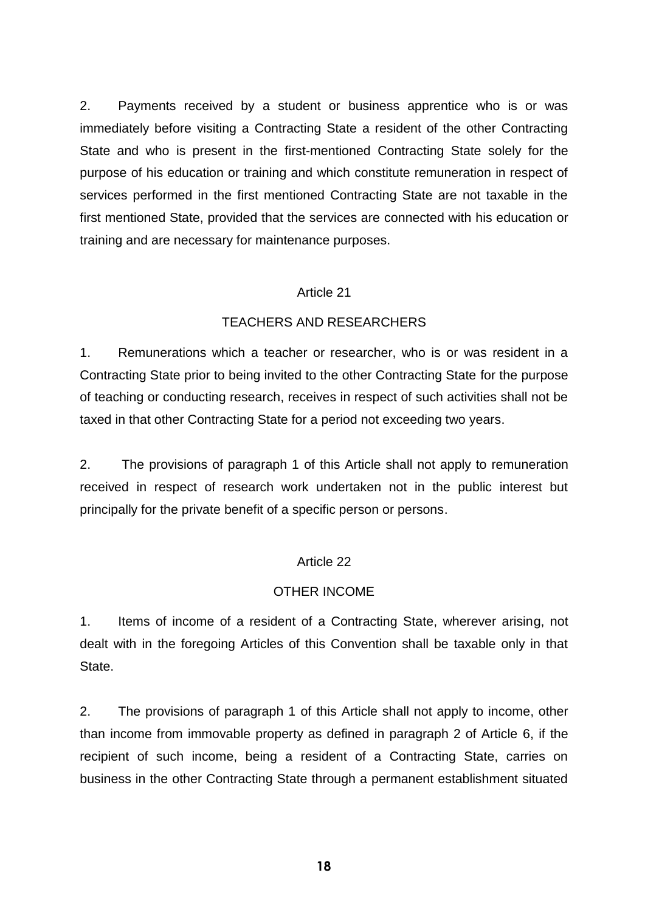2. Payments received by a student or business apprentice who is or was immediately before visiting a Contracting State a resident of the other Contracting State and who is present in the first-mentioned Contracting State solely for the purpose of his education or training and which constitute remuneration in respect of services performed in the first mentioned Contracting State are not taxable in the first mentioned State, provided that the services are connected with his education or training and are necessary for maintenance purposes.

#### Article 21

### TEACHERS AND RESEARCHERS

1. Remunerations which a teacher or researcher, who is or was resident in a Contracting State prior to being invited to the other Contracting State for the purpose of teaching or conducting research, receives in respect of such activities shall not be taxed in that other Contracting State for a period not exceeding two years.

2. The provisions of paragraph 1 of this Article shall not apply to remuneration received in respect of research work undertaken not in the public interest but principally for the private benefit of a specific person or persons.

### Article 22

### OTHER INCOME

1. Items of income of a resident of a Contracting State, wherever arising, not dealt with in the foregoing Articles of this Convention shall be taxable only in that State.

2. The provisions of paragraph 1 of this Article shall not apply to income, other than income from immovable property as defined in paragraph 2 of Article 6, if the recipient of such income, being a resident of a Contracting State, carries on business in the other Contracting State through a permanent establishment situated

**18**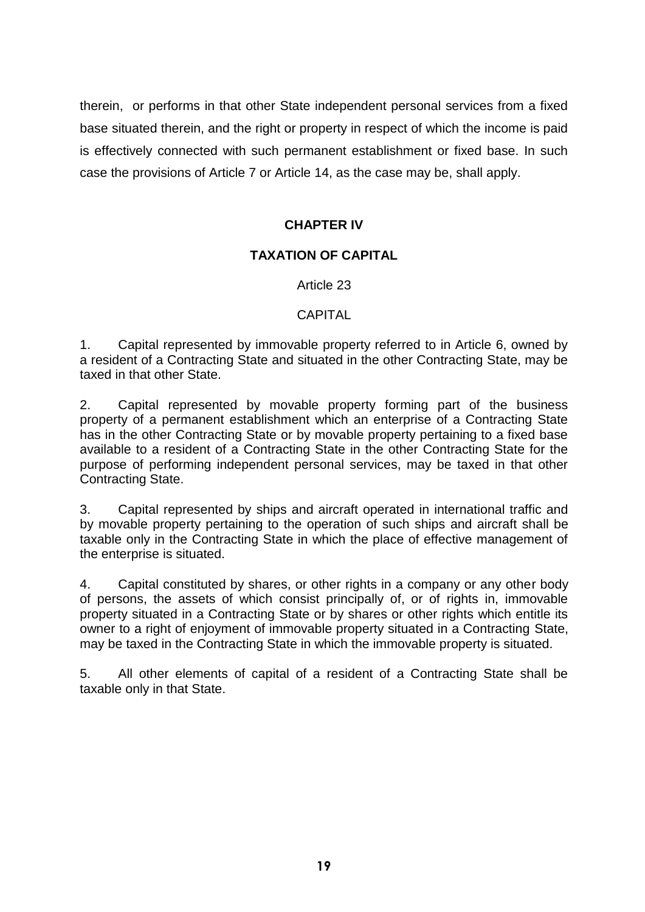therein, or performs in that other State independent personal services from a fixed base situated therein, and the right or property in respect of which the income is paid is effectively connected with such permanent establishment or fixed base. In such case the provisions of Article 7 or Article 14, as the case may be, shall apply.

# **CHAPTER IV**

# **TAXATION OF CAPITAL**

Article 23

## CAPITAL

1. Capital represented by immovable property referred to in Article 6, owned by a resident of a Contracting State and situated in the other Contracting State, may be taxed in that other State.

2. Capital represented by movable property forming part of the business property of a permanent establishment which an enterprise of a Contracting State has in the other Contracting State or by movable property pertaining to a fixed base available to a resident of a Contracting State in the other Contracting State for the purpose of performing independent personal services, may be taxed in that other Contracting State.

3. Capital represented by ships and aircraft operated in international traffic and by movable property pertaining to the operation of such ships and aircraft shall be taxable only in the Contracting State in which the place of effective management of the enterprise is situated.

4. Capital constituted by shares, or other rights in a company or any other body of persons, the assets of which consist principally of, or of rights in, immovable property situated in a Contracting State or by shares or other rights which entitle its owner to a right of enjoyment of immovable property situated in a Contracting State, may be taxed in the Contracting State in which the immovable property is situated.

5. All other elements of capital of a resident of a Contracting State shall be taxable only in that State.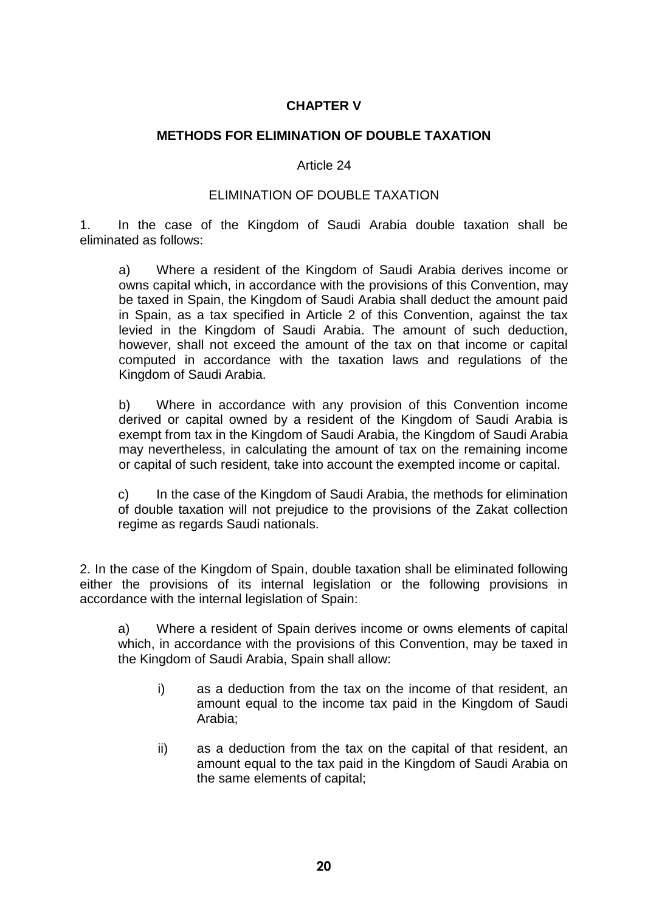# **CHAPTER V**

#### **METHODS FOR ELIMINATION OF DOUBLE TAXATION**

#### Article 24

#### ELIMINATION OF DOUBLE TAXATION

1. In the case of the Kingdom of Saudi Arabia double taxation shall be eliminated as follows:

a) Where a resident of the Kingdom of Saudi Arabia derives income or owns capital which, in accordance with the provisions of this Convention, may be taxed in Spain, the Kingdom of Saudi Arabia shall deduct the amount paid in Spain, as a tax specified in Article 2 of this Convention, against the tax levied in the Kingdom of Saudi Arabia. The amount of such deduction, however, shall not exceed the amount of the tax on that income or capital computed in accordance with the taxation laws and regulations of the Kingdom of Saudi Arabia.

b) Where in accordance with any provision of this Convention income derived or capital owned by a resident of the Kingdom of Saudi Arabia is exempt from tax in the Kingdom of Saudi Arabia, the Kingdom of Saudi Arabia may nevertheless, in calculating the amount of tax on the remaining income or capital of such resident, take into account the exempted income or capital.

c) In the case of the Kingdom of Saudi Arabia, the methods for elimination of double taxation will not prejudice to the provisions of the Zakat collection regime as regards Saudi nationals.

2. In the case of the Kingdom of Spain, double taxation shall be eliminated following either the provisions of its internal legislation or the following provisions in accordance with the internal legislation of Spain:

a) Where a resident of Spain derives income or owns elements of capital which, in accordance with the provisions of this Convention, may be taxed in the Kingdom of Saudi Arabia, Spain shall allow:

- i) as a deduction from the tax on the income of that resident, an amount equal to the income tax paid in the Kingdom of Saudi Arabia;
- ii) as a deduction from the tax on the capital of that resident, an amount equal to the tax paid in the Kingdom of Saudi Arabia on the same elements of capital;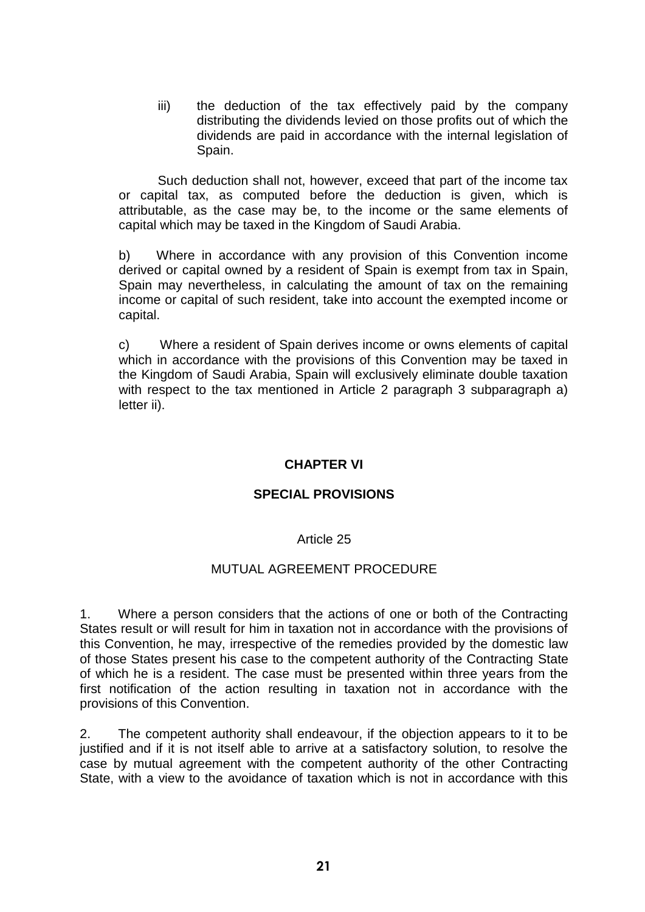iii) the deduction of the tax effectively paid by the company distributing the dividends levied on those profits out of which the dividends are paid in accordance with the internal legislation of Spain.

Such deduction shall not, however, exceed that part of the income tax or capital tax, as computed before the deduction is given, which is attributable, as the case may be, to the income or the same elements of capital which may be taxed in the Kingdom of Saudi Arabia.

b) Where in accordance with any provision of this Convention income derived or capital owned by a resident of Spain is exempt from tax in Spain, Spain may nevertheless, in calculating the amount of tax on the remaining income or capital of such resident, take into account the exempted income or capital.

c) Where a resident of Spain derives income or owns elements of capital which in accordance with the provisions of this Convention may be taxed in the Kingdom of Saudi Arabia, Spain will exclusively eliminate double taxation with respect to the tax mentioned in Article 2 paragraph 3 subparagraph a) letter ii).

### **CHAPTER VI**

#### **SPECIAL PROVISIONS**

#### Article 25

#### MUTUAL AGREEMENT PROCEDURE

1. Where a person considers that the actions of one or both of the Contracting States result or will result for him in taxation not in accordance with the provisions of this Convention, he may, irrespective of the remedies provided by the domestic law of those States present his case to the competent authority of the Contracting State of which he is a resident. The case must be presented within three years from the first notification of the action resulting in taxation not in accordance with the provisions of this Convention.

2. The competent authority shall endeavour, if the objection appears to it to be justified and if it is not itself able to arrive at a satisfactory solution, to resolve the case by mutual agreement with the competent authority of the other Contracting State, with a view to the avoidance of taxation which is not in accordance with this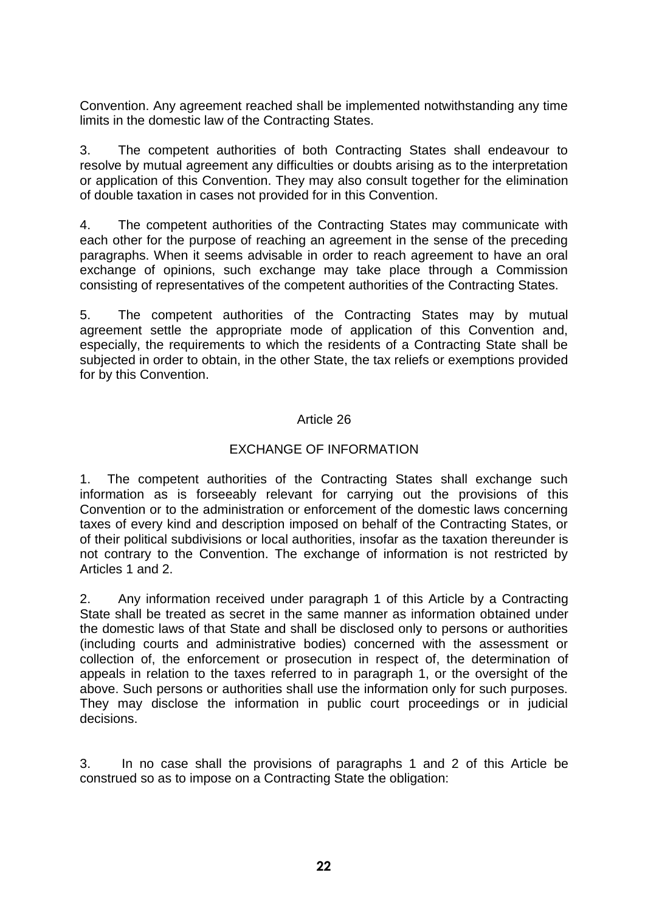Convention. Any agreement reached shall be implemented notwithstanding any time limits in the domestic law of the Contracting States.

3. The competent authorities of both Contracting States shall endeavour to resolve by mutual agreement any difficulties or doubts arising as to the interpretation or application of this Convention. They may also consult together for the elimination of double taxation in cases not provided for in this Convention.

4. The competent authorities of the Contracting States may communicate with each other for the purpose of reaching an agreement in the sense of the preceding paragraphs. When it seems advisable in order to reach agreement to have an oral exchange of opinions, such exchange may take place through a Commission consisting of representatives of the competent authorities of the Contracting States.

5. The competent authorities of the Contracting States may by mutual agreement settle the appropriate mode of application of this Convention and, especially, the requirements to which the residents of a Contracting State shall be subjected in order to obtain, in the other State, the tax reliefs or exemptions provided for by this Convention.

## Article 26

## EXCHANGE OF INFORMATION

1. The competent authorities of the Contracting States shall exchange such information as is forseeably relevant for carrying out the provisions of this Convention or to the administration or enforcement of the domestic laws concerning taxes of every kind and description imposed on behalf of the Contracting States, or of their political subdivisions or local authorities, insofar as the taxation thereunder is not contrary to the Convention. The exchange of information is not restricted by Articles 1 and 2.

2. Any information received under paragraph 1 of this Article by a Contracting State shall be treated as secret in the same manner as information obtained under the domestic laws of that State and shall be disclosed only to persons or authorities (including courts and administrative bodies) concerned with the assessment or collection of, the enforcement or prosecution in respect of, the determination of appeals in relation to the taxes referred to in paragraph 1, or the oversight of the above. Such persons or authorities shall use the information only for such purposes. They may disclose the information in public court proceedings or in judicial decisions.

3. In no case shall the provisions of paragraphs 1 and 2 of this Article be construed so as to impose on a Contracting State the obligation: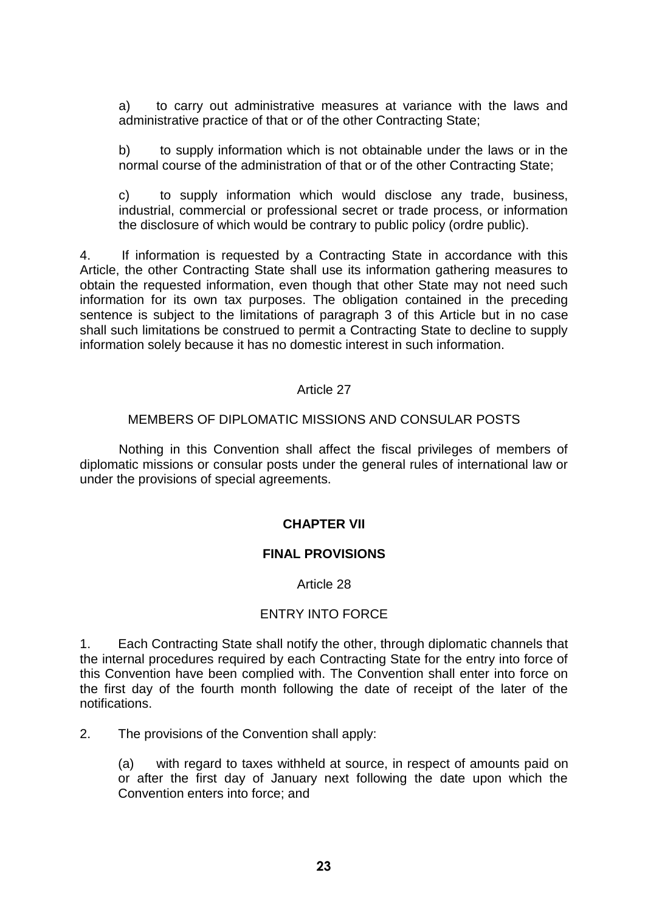a) to carry out administrative measures at variance with the laws and administrative practice of that or of the other Contracting State;

b) to supply information which is not obtainable under the laws or in the normal course of the administration of that or of the other Contracting State;

c) to supply information which would disclose any trade, business, industrial, commercial or professional secret or trade process, or information the disclosure of which would be contrary to public policy (ordre public).

4. If information is requested by a Contracting State in accordance with this Article, the other Contracting State shall use its information gathering measures to obtain the requested information, even though that other State may not need such information for its own tax purposes. The obligation contained in the preceding sentence is subject to the limitations of paragraph 3 of this Article but in no case shall such limitations be construed to permit a Contracting State to decline to supply information solely because it has no domestic interest in such information.

### Article 27

#### MEMBERS OF DIPLOMATIC MISSIONS AND CONSULAR POSTS

Nothing in this Convention shall affect the fiscal privileges of members of diplomatic missions or consular posts under the general rules of international law or under the provisions of special agreements.

### **CHAPTER VII**

### **FINAL PROVISIONS**

#### Article 28

### ENTRY INTO FORCE

1. Each Contracting State shall notify the other, through diplomatic channels that the internal procedures required by each Contracting State for the entry into force of this Convention have been complied with. The Convention shall enter into force on the first day of the fourth month following the date of receipt of the later of the notifications.

2. The provisions of the Convention shall apply:

(a) with regard to taxes withheld at source, in respect of amounts paid on or after the first day of January next following the date upon which the Convention enters into force; and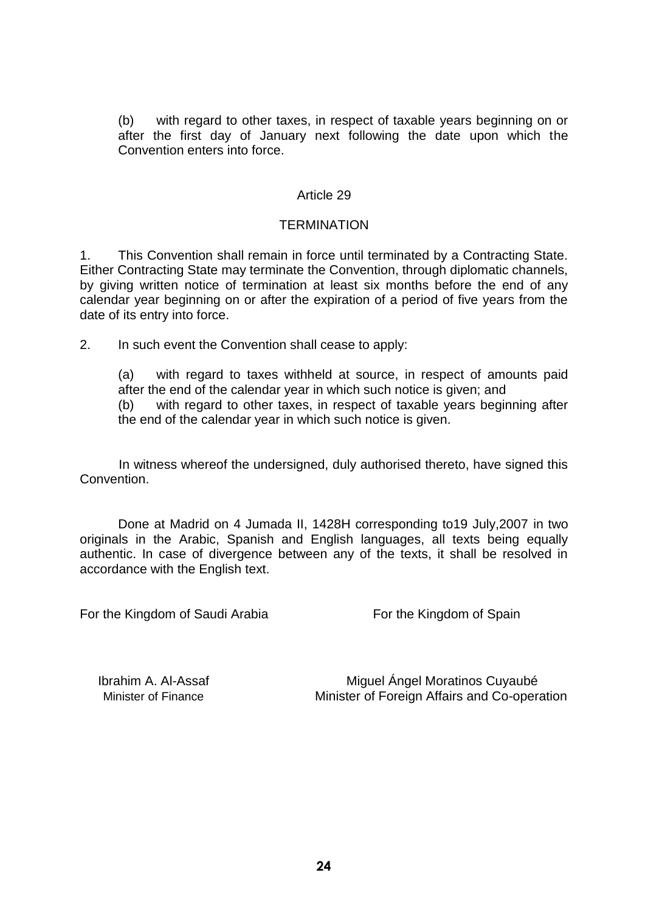(b) with regard to other taxes, in respect of taxable years beginning on or after the first day of January next following the date upon which the Convention enters into force.

#### Article 29

#### **TERMINATION**

1. This Convention shall remain in force until terminated by a Contracting State. Either Contracting State may terminate the Convention, through diplomatic channels, by giving written notice of termination at least six months before the end of any calendar year beginning on or after the expiration of a period of five years from the date of its entry into force.

2. In such event the Convention shall cease to apply:

(a) with regard to taxes withheld at source, in respect of amounts paid after the end of the calendar year in which such notice is given; and (b) with regard to other taxes, in respect of taxable years beginning after the end of the calendar year in which such notice is given.

In witness whereof the undersigned, duly authorised thereto, have signed this Convention.

Done at Madrid on 4 Jumada II, 1428H corresponding to19 July,2007 in two originals in the Arabic, Spanish and English languages, all texts being equally authentic. In case of divergence between any of the texts, it shall be resolved in accordance with the English text.

For the Kingdom of Saudi Arabia For the Kingdom of Spain

Ibrahim A. Al-Assaf **Miguel Ángel Moratinos Cuyaubé** Minister of Finance Minister of Foreign Affairs and Co-operation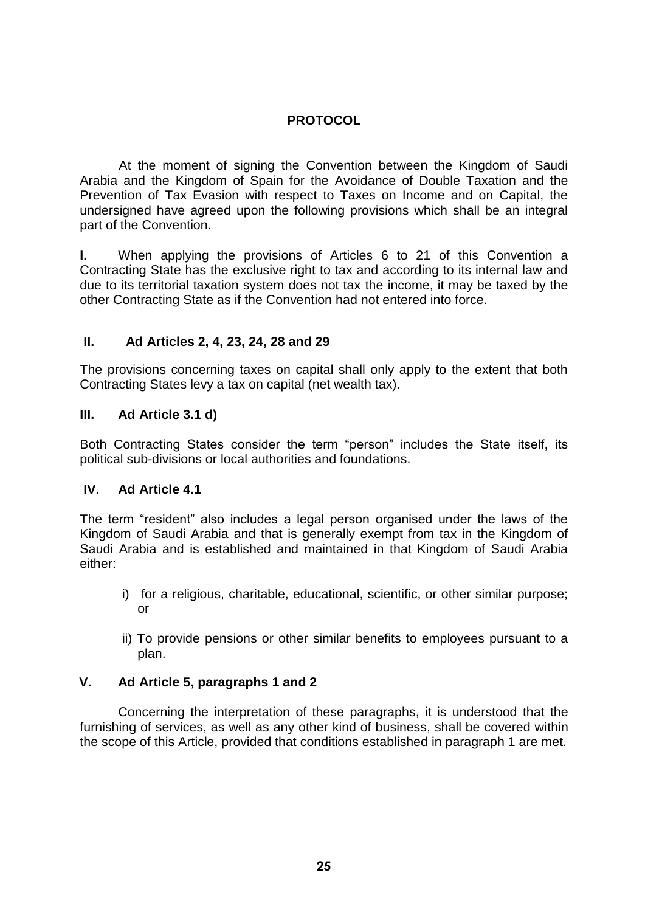# **PROTOCOL**

At the moment of signing the Convention between the Kingdom of Saudi Arabia and the Kingdom of Spain for the Avoidance of Double Taxation and the Prevention of Tax Evasion with respect to Taxes on Income and on Capital, the undersigned have agreed upon the following provisions which shall be an integral part of the Convention.

**I.** When applying the provisions of Articles 6 to 21 of this Convention a Contracting State has the exclusive right to tax and according to its internal law and due to its territorial taxation system does not tax the income, it may be taxed by the other Contracting State as if the Convention had not entered into force.

## **II. Ad Articles 2, 4, 23, 24, 28 and 29**

The provisions concerning taxes on capital shall only apply to the extent that both Contracting States levy a tax on capital (net wealth tax).

### **III. Ad Article 3.1 d)**

Both Contracting States consider the term "person" includes the State itself, its political sub-divisions or local authorities and foundations.

### **IV. Ad Article 4.1**

The term "resident" also includes a legal person organised under the laws of the Kingdom of Saudi Arabia and that is generally exempt from tax in the Kingdom of Saudi Arabia and is established and maintained in that Kingdom of Saudi Arabia either:

- i) for a religious, charitable, educational, scientific, or other similar purpose; or
- ii) To provide pensions or other similar benefits to employees pursuant to a plan.

# **V. Ad Article 5, paragraphs 1 and 2**

Concerning the interpretation of these paragraphs, it is understood that the furnishing of services, as well as any other kind of business, shall be covered within the scope of this Article, provided that conditions established in paragraph 1 are met.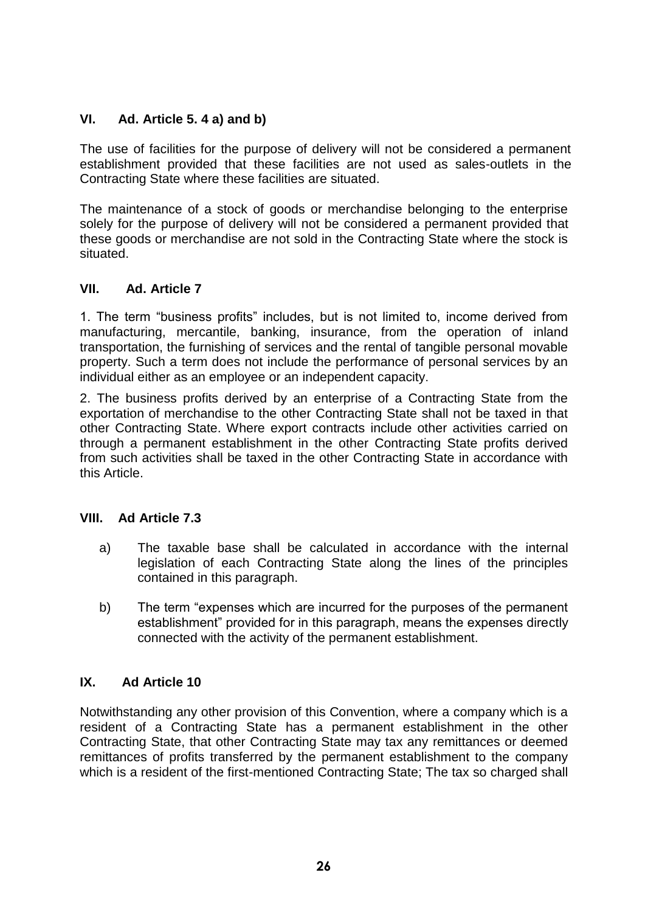# **VI. Ad. Article 5. 4 a) and b)**

The use of facilities for the purpose of delivery will not be considered a permanent establishment provided that these facilities are not used as sales-outlets in the Contracting State where these facilities are situated.

The maintenance of a stock of goods or merchandise belonging to the enterprise solely for the purpose of delivery will not be considered a permanent provided that these goods or merchandise are not sold in the Contracting State where the stock is situated.

# **VII. Ad. Article 7**

1. The term "business profits" includes, but is not limited to, income derived from manufacturing, mercantile, banking, insurance, from the operation of inland transportation, the furnishing of services and the rental of tangible personal movable property. Such a term does not include the performance of personal services by an individual either as an employee or an independent capacity.

2. The business profits derived by an enterprise of a Contracting State from the exportation of merchandise to the other Contracting State shall not be taxed in that other Contracting State. Where export contracts include other activities carried on through a permanent establishment in the other Contracting State profits derived from such activities shall be taxed in the other Contracting State in accordance with this Article.

# **VIII. Ad Article 7.3**

- a) The taxable base shall be calculated in accordance with the internal legislation of each Contracting State along the lines of the principles contained in this paragraph.
- b) The term "expenses which are incurred for the purposes of the permanent establishment" provided for in this paragraph, means the expenses directly connected with the activity of the permanent establishment.

## **IX. Ad Article 10**

Notwithstanding any other provision of this Convention, where a company which is a resident of a Contracting State has a permanent establishment in the other Contracting State, that other Contracting State may tax any remittances or deemed remittances of profits transferred by the permanent establishment to the company which is a resident of the first-mentioned Contracting State; The tax so charged shall